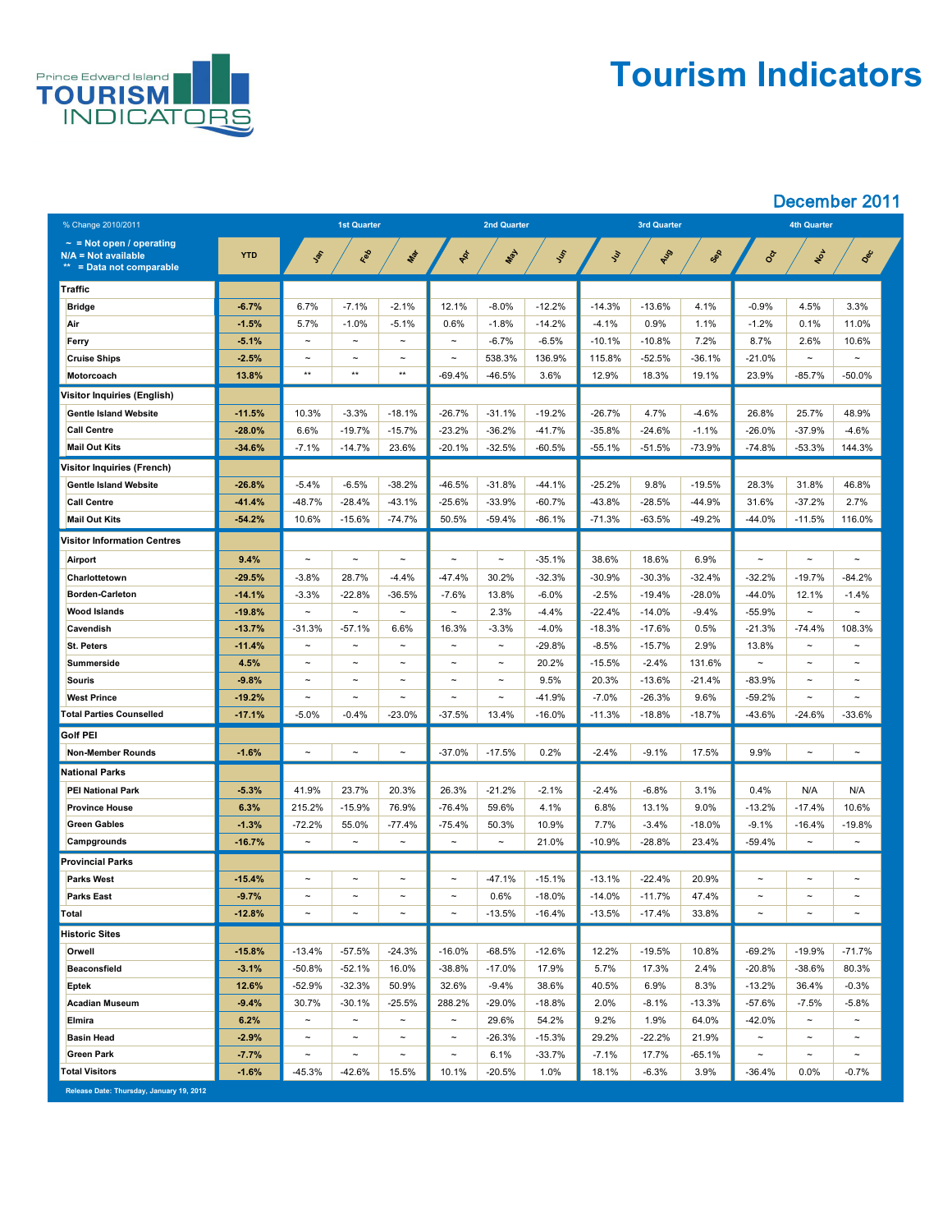

## **Tourism Indicators**

| % Change 2010/2011                                                                      |            | <b>1st Quarter</b>    |             |                       | <b>2nd Quarter</b>    |            |           |               | <b>3rd Quarter</b> |          | <b>4th Quarter</b>    |                       |                       |
|-----------------------------------------------------------------------------------------|------------|-----------------------|-------------|-----------------------|-----------------------|------------|-----------|---------------|--------------------|----------|-----------------------|-----------------------|-----------------------|
| $\sim$ = Not open / operating<br><b>N/A = Not available</b><br>** = Data not comparable | <b>YTD</b> | Jan                   | Red         | Max                   | Ap-                   | <b>May</b> | Ist       | $\mathcal{S}$ | AUS                | Sep      | Oct                   | NON                   | Dec                   |
| <b>Traffic</b>                                                                          |            |                       |             |                       |                       |            |           |               |                    |          |                       |                       |                       |
| <b>Bridge</b>                                                                           | $-6.7%$    | 6.7%                  | $-7.1%$     | $-2.1%$               | 12.1%                 | $-8.0\%$   | $-12.2%$  | $-14.3%$      | $-13.6%$           | 4.1%     | $-0.9%$               | 4.5%                  | 3.3%                  |
| Air                                                                                     | $-1.5%$    | 5.7%                  | $-1.0\%$    | $-5.1%$               | 0.6%                  | $-1.8%$    | $-14.2%$  | $-4.1%$       | 0.9%               | 1.1%     | $-1.2%$               | 0.1%                  | 11.0%                 |
| Ferry                                                                                   | $-5.1%$    | $\tilde{\phantom{a}}$ | $\sim$      | $\sim$                | $\sim$                | $-6.7%$    | $-6.5%$   | $-10.1%$      | $-10.8%$           | 7.2%     | 8.7%                  | 2.6%                  | 10.6%                 |
| <b>Cruise Ships</b>                                                                     | $-2.5%$    | $\tilde{}$            | $\sim$      | $\tilde{\phantom{m}}$ | $\tilde{\phantom{a}}$ | 538.3%     | 136.9%    | 115.8%        | $-52.5%$           | $-36.1%$ | $-21.0%$              | $\thicksim$           | $\tilde{}$            |
| Motorcoach                                                                              | 13.8%      | $***$                 | $***$       | $***$                 | $-69.4%$              | $-46.5%$   | 3.6%      | 12.9%         | 18.3%              | 19.1%    | 23.9%                 | $-85.7%$              | $-50.0\%$             |
| <b>Visitor Inquiries (English)</b>                                                      |            |                       |             |                       |                       |            |           |               |                    |          |                       |                       |                       |
| <b>Gentle Island Website</b>                                                            | $-11.5%$   | 10.3%                 | $-3.3%$     | $-18.1%$              | $-26.7%$              | $-31.1%$   | $-19.2%$  | $-26.7%$      | 4.7%               | $-4.6%$  | 26.8%                 | 25.7%                 | 48.9%                 |
| <b>Call Centre</b>                                                                      | $-28.0%$   | 6.6%                  | $-19.7%$    | $-15.7%$              | $-23.2%$              | $-36.2%$   | $-41.7%$  | $-35.8%$      | $-24.6%$           | $-1.1%$  | $-26.0\%$             | $-37.9%$              | $-4.6%$               |
| <b>Mail Out Kits</b>                                                                    | $-34.6%$   | $-7.1%$               | $-14.7%$    | 23.6%                 | $-20.1%$              | $-32.5%$   | $-60.5%$  | $-55.1%$      | $-51.5%$           | $-73.9%$ | $-74.8%$              | $-53.3%$              | 144.3%                |
| <b>Visitor Inquiries (French)</b>                                                       |            |                       |             |                       |                       |            |           |               |                    |          |                       |                       |                       |
| <b>Gentle Island Website</b>                                                            | $-26.8%$   | $-5.4\%$              | $-6.5%$     | $-38.2%$              | $-46.5%$              | $-31.8%$   | $-44.1%$  | $-25.2%$      | 9.8%               | $-19.5%$ | 28.3%                 | 31.8%                 | 46.8%                 |
| <b>Call Centre</b>                                                                      | $-41.4%$   | $-48.7%$              | $-28.4%$    | $-43.1%$              | $-25.6%$              | $-33.9%$   | $-60.7%$  | $-43.8%$      | $-28.5%$           | $-44.9%$ | 31.6%                 | $-37.2%$              | 2.7%                  |
| <b>Mail Out Kits</b>                                                                    | $-54.2%$   | 10.6%                 | $-15.6%$    | $-74.7%$              | 50.5%                 | $-59.4%$   | $-86.1%$  | $-71.3%$      | $-63.5%$           | $-49.2%$ | $-44.0%$              | $-11.5%$              | 116.0%                |
| <b>Visitor Information Centres</b>                                                      |            |                       |             |                       |                       |            |           |               |                    |          |                       |                       |                       |
| <b>Airport</b>                                                                          | 9.4%       | $\tilde{}$            | $\sim$      | $\tilde{\phantom{m}}$ | $\tilde{}$            | $\sim$     | $-35.1%$  | 38.6%         | 18.6%              | 6.9%     | $\tilde{\phantom{m}}$ | $\tilde{\phantom{a}}$ | $\tilde{\phantom{a}}$ |
| Charlottetown                                                                           | $-29.5%$   | $-3.8%$               | 28.7%       | $-4.4\%$              | $-47.4%$              | 30.2%      | $-32.3%$  | $-30.9%$      | $-30.3%$           | $-32.4%$ | $-32.2%$              | $-19.7%$              | $-84.2%$              |
| <b>Borden-Carleton</b>                                                                  | $-14.1%$   | $-3.3%$               | $-22.8%$    | $-36.5%$              | $-7.6%$               | 13.8%      | $-6.0\%$  | $-2.5%$       | $-19.4%$           | $-28.0%$ | $-44.0%$              | 12.1%                 | $-1.4%$               |
| <b>Wood Islands</b>                                                                     | $-19.8%$   | $\sim$                | $\sim$      | $\tilde{\phantom{a}}$ | $\sim$                | 2.3%       | $-4.4%$   | $-22.4%$      | $-14.0\%$          | $-9.4%$  | $-55.9%$              | $\tilde{\phantom{a}}$ | $\tilde{}$            |
| <b>Cavendish</b>                                                                        | $-13.7%$   | $-31.3%$              | $-57.1%$    | 6.6%                  | 16.3%                 | $-3.3%$    | $-4.0%$   | $-18.3%$      | $-17.6%$           | 0.5%     | $-21.3%$              | $-74.4%$              | 108.3%                |
| <b>St. Peters</b>                                                                       | $-11.4%$   | $\tilde{\phantom{m}}$ | $\thicksim$ | $\tilde{\phantom{a}}$ | $\tilde{\phantom{a}}$ | $\sim$     | $-29.8%$  | $-8.5%$       | $-15.7%$           | 2.9%     | 13.8%                 | $\tilde{\phantom{a}}$ | $\tilde{\phantom{a}}$ |
| <b>Summerside</b>                                                                       | 4.5%       | $\tilde{}$            | $\sim$      | $\tilde{\phantom{a}}$ | $\tilde{}$            | $\sim$     | 20.2%     | $-15.5%$      | $-2.4%$            | 131.6%   | $\tilde{\phantom{m}}$ | $\tilde{}$            | $\tilde{\phantom{a}}$ |
| Souris                                                                                  | $-9.8%$    | $\sim$                | $\sim$      | $\tilde{\phantom{m}}$ | $\sim$                | $\sim$     | 9.5%      | 20.3%         | $-13.6%$           | $-21.4%$ | $-83.9%$              | $\tilde{\phantom{a}}$ | $\sim$                |
| <b>West Prince</b>                                                                      | $-19.2%$   | $\sim$                | $\sim$      | $\thicksim$           | $\sim$                | $\sim$     | $-41.9%$  | $-7.0\%$      | $-26.3%$           | 9.6%     | $-59.2%$              | $\tilde{\phantom{a}}$ | $\sim$                |
| <b>Total Parties Counselled</b>                                                         | $-17.1%$   | $-5.0\%$              | $-0.4%$     | $-23.0%$              | $-37.5%$              | 13.4%      | $-16.0\%$ | $-11.3%$      | $-18.8%$           | $-18.7%$ | $-43.6%$              | $-24.6%$              | $-33.6%$              |
| <b>Golf PEI</b>                                                                         |            |                       |             |                       |                       |            |           |               |                    |          |                       |                       |                       |
| <b>Non-Member Rounds</b>                                                                | $-1.6%$    | $\tilde{}$            | $\sim$      | $\thicksim$           | $-37.0%$              | $-17.5%$   | 0.2%      | $-2.4%$       | $-9.1%$            | 17.5%    | 9.9%                  | $\tilde{}$            | $\tilde{\phantom{a}}$ |
| <b>National Parks</b>                                                                   |            |                       |             |                       |                       |            |           |               |                    |          |                       |                       |                       |
| <b>PEI National Park</b>                                                                | $-5.3%$    | 41.9%                 | 23.7%       | 20.3%                 | 26.3%                 | $-21.2%$   | $-2.1%$   | $-2.4%$       | $-6.8%$            | 3.1%     | 0.4%                  | N/A                   | N/A                   |
| <b>Province House</b>                                                                   | 6.3%       | 215.2%                | $-15.9%$    | 76.9%                 | $-76.4%$              | 59.6%      | 4.1%      | 6.8%          | 13.1%              | 9.0%     | $-13.2%$              | $-17.4%$              | 10.6%                 |
| <b>Green Gables</b>                                                                     | $-1.3%$    | $-72.2%$              | 55.0%       | $-77.4%$              | $-75.4\%$             | 50.3%      | 10.9%     | 7.7%          | $-3.4%$            | $-18.0%$ | $-9.1\%$              | $-16.4\%$             | $-19.8\%$             |
| <b>Campgrounds</b>                                                                      | $-16.7%$   | $\tilde{\phantom{m}}$ | $\sim$      | $\thicksim$           | $\tilde{}$            | $\sim$     | 21.0%     | $-10.9%$      | $-28.8%$           | 23.4%    | $-59.4%$              | $\tilde{\phantom{a}}$ | $\tilde{\phantom{m}}$ |
| <b>Provincial Parks</b>                                                                 |            |                       |             |                       |                       |            |           |               |                    |          |                       |                       |                       |
| <b>Parks West</b>                                                                       | $-15.4%$   | $\tilde{\phantom{m}}$ | $\sim$      | $\sim$                | $\sim$                | $-47.1%$   | $-15.1%$  | $-13.1%$      | $-22.4%$           | 20.9%    | $\tilde{\phantom{m}}$ | $\tilde{\phantom{a}}$ | $\sim$                |
| <b>Parks East</b>                                                                       | $-9.7%$    | $\tilde{}$            | $\sim$      | $\tilde{\phantom{a}}$ | $\sim$                | 0.6%       | $-18.0\%$ | $-14.0\%$     | $-11.7%$           | 47.4%    | $\tilde{\phantom{m}}$ | $\tilde{\phantom{m}}$ | $\thicksim$           |
| Total                                                                                   | $-12.8%$   | $\tilde{\phantom{m}}$ | $\sim$      | $\tilde{\phantom{m}}$ | $\thicksim$           | $-13.5%$   | $-16.4%$  | $-13.5%$      | $-17.4\%$          | 33.8%    | $\tilde{\phantom{m}}$ | $\tilde{\phantom{m}}$ | $\tilde{\phantom{a}}$ |
| <b>Historic Sites</b>                                                                   |            |                       |             |                       |                       |            |           |               |                    |          |                       |                       |                       |
| Orwell                                                                                  | $-15.8%$   | $-13.4%$              | $-57.5%$    | $-24.3%$              | $-16.0%$              | $-68.5%$   | $-12.6%$  | 12.2%         | $-19.5%$           | 10.8%    | $-69.2%$              | $-19.9%$              | $-71.7%$              |
| <b>Beaconsfield</b>                                                                     | $-3.1%$    | $-50.8%$              | $-52.1\%$   | 16.0%                 | $-38.8%$              | $-17.0\%$  | 17.9%     | 5.7%          | 17.3%              | 2.4%     | $-20.8%$              | $-38.6%$              | 80.3%                 |
| <b>Eptek</b>                                                                            | 12.6%      | $-52.9%$              | $-32.3%$    | 50.9%                 | 32.6%                 | $-9.4%$    | 38.6%     | 40.5%         | 6.9%               | 8.3%     | $-13.2%$              | 36.4%                 | $-0.3%$               |
| <b>Acadian Museum</b>                                                                   | $-9.4%$    | 30.7%                 | $-30.1%$    | $-25.5%$              | 288.2%                | $-29.0%$   | $-18.8%$  | 2.0%          | $-8.1%$            | $-13.3%$ | $-57.6%$              | $-7.5%$               | $-5.8%$               |
| <b>Elmira</b>                                                                           | 6.2%       | $\tilde{}$            | $\sim$      | $\sim$                | $\sim$                | 29.6%      | 54.2%     | 9.2%          | 1.9%               | 64.0%    | $-42.0%$              | $\tilde{\phantom{a}}$ | $\tilde{\phantom{a}}$ |
| <b>Basin Head</b>                                                                       | $-2.9%$    | $\sim$                | $\sim$      | $\thicksim$           | $\sim$                | $-26.3%$   | $-15.3%$  | 29.2%         | $-22.2%$           | 21.9%    | $\tilde{\phantom{m}}$ | $\sim$                | $\sim$                |
| <b>Green Park</b>                                                                       | $-7.7%$    | $\sim$                | $\sim$      | $\thicksim$           | $\sim$                | 6.1%       | $-33.7%$  | $-7.1\%$      | 17.7%              | $-65.1%$ | $\tilde{\phantom{m}}$ | $\sim$                | $\sim$                |
| <b>Total Visitors</b>                                                                   | $-1.6%$    | $-45.3%$              | $-42.6%$    | 15.5%                 | 10.1%                 | $-20.5%$   | 1.0%      | 18.1%         | $-6.3%$            | 3.9%     | $-36.4%$              | $0.0\%$               | $-0.7\%$              |
| Release Date: Thursday, January 19, 2012                                                |            |                       |             |                       |                       |            |           |               |                    |          |                       |                       |                       |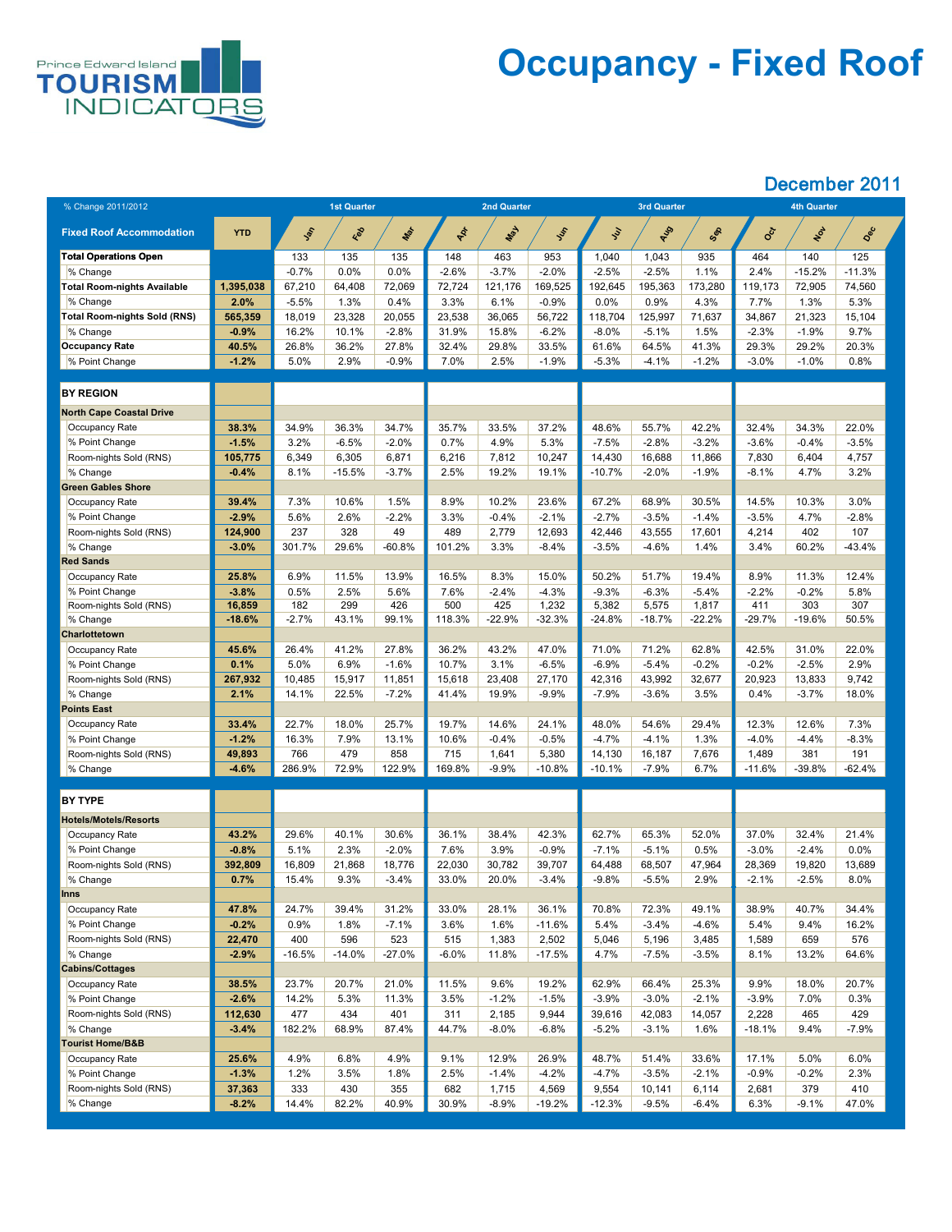

## **Occupancy - Fixed Roof**

| % Change 2011/2012                  |                    |             | <b>1st Quarter</b> |             |             | <b>2nd Quarter</b> |                  |                   | <b>3rd Quarter</b> |                   |                 | <b>4th Quarter</b> |             |  |
|-------------------------------------|--------------------|-------------|--------------------|-------------|-------------|--------------------|------------------|-------------------|--------------------|-------------------|-----------------|--------------------|-------------|--|
|                                     |                    |             |                    |             |             |                    |                  |                   |                    |                   |                 |                    |             |  |
| <b>Fixed Roof Accommodation</b>     | <b>YTD</b>         | <b>SOL</b>  | Red                | Max         | PR          | May                | Just             | <b>Sul</b>        | AUS                | Sex               | CCT             | NOV                | Dec         |  |
| <b>Total Operations Open</b>        |                    | 133         | 135                | 135         | 148         | 463                | 953              | 1,040             | 1,043              | 935               | 464             | 140                | 125         |  |
| % Change                            |                    | $-0.7%$     | 0.0%               | 0.0%        | $-2.6\%$    | $-3.7%$            | $-2.0%$          | $-2.5%$           | $-2.5%$            | 1.1%              | 2.4%            | $-15.2%$           | $-11.3%$    |  |
| <b>Total Room-nights Available</b>  | 1,395,038          | 67,210      | 64,408             | 72,069      | 72,724      | 121,176            | 169,525          | 192,645           | 195,363            | 173,280           | 119,173         | 72,905             | 74,560      |  |
| % Change                            | 2.0%               | $-5.5%$     | 1.3%               | 0.4%        | 3.3%        | 6.1%               | $-0.9%$          | 0.0%              | 0.9%               | 4.3%              | $7.7\%$         | 1.3%               | 5.3%        |  |
| <b>Total Room-nights Sold (RNS)</b> | 565,359            | 18,019      | 23,328             | 20,055      | 23,538      | 36,065             | 56,722           | 118,704           | 125,997            | 71,637            | 34,867          | 21,323             | 15,104      |  |
| % Change                            | $-0.9%$            | 16.2%       | 10.1%              | $-2.8%$     | 31.9%       | 15.8%              | $-6.2%$          | $-8.0\%$          | $-5.1%$            | 1.5%              | $-2.3%$         | $-1.9%$            | 9.7%        |  |
| <b>Occupancy Rate</b>               | 40.5%              | 26.8%       | 36.2%              | 27.8%       | 32.4%       | 29.8%              | 33.5%            | 61.6%             | 64.5%              | 41.3%             | 29.3%           | 29.2%              | 20.3%       |  |
| % Point Change                      | $-1.2%$            | 5.0%        | 2.9%               | $-0.9\%$    | 7.0%        | 2.5%               | $-1.9%$          | $-5.3%$           | $-4.1%$            | $-1.2%$           | $-3.0\%$        | $-1.0\%$           | 0.8%        |  |
|                                     |                    |             |                    |             |             |                    |                  |                   |                    |                   |                 |                    |             |  |
| <b>BY REGION</b>                    |                    |             |                    |             |             |                    |                  |                   |                    |                   |                 |                    |             |  |
| <b>North Cape Coastal Drive</b>     |                    |             |                    |             |             |                    |                  |                   |                    |                   |                 |                    |             |  |
| Occupancy Rate                      | 38.3%              | 34.9%       | 36.3%              | 34.7%       | 35.7%       | 33.5%              | 37.2%            | 48.6%             | 55.7%              | 42.2%             | 32.4%           | 34.3%              | 22.0%       |  |
| % Point Change                      | $-1.5%$            | 3.2%        | $-6.5%$            | $-2.0%$     | 0.7%        | 4.9%               | 5.3%             | $-7.5%$           | $-2.8%$            | $-3.2%$           | $-3.6\%$        | $-0.4%$            | $-3.5%$     |  |
| Room-nights Sold (RNS)              | 105,775            | 6,349       | 6,305              | 6,871       | 6,216       | 7,812              | 10,247           | 14,430            | 16,688             | 11,866            | 7,830           | 6,404              | 4,757       |  |
| % Change                            | $-0.4%$            | 8.1%        | $-15.5%$           | $-3.7%$     | 2.5%        | 19.2%              | 19.1%            | $-10.7%$          | $-2.0%$            | $-1.9%$           | $-8.1%$         | 4.7%               | 3.2%        |  |
| <b>Green Gables Shore</b>           |                    |             |                    |             |             |                    |                  |                   |                    |                   |                 |                    |             |  |
| <b>Occupancy Rate</b>               | 39.4%              | 7.3%        | 10.6%              | 1.5%        | 8.9%        | 10.2%              | 23.6%            | 67.2%             | 68.9%              | 30.5%             | 14.5%           | 10.3%              | 3.0%        |  |
| % Point Change                      | $-2.9%$            | 5.6%        | 2.6%               | $-2.2%$     | 3.3%        | $-0.4%$            | $-2.1%$          | $-2.7%$           | $-3.5%$            | $-1.4%$           | $-3.5%$         | 4.7%               | $-2.8%$     |  |
| Room-nights Sold (RNS)              | 124,900            | 237         | 328                | 49          | 489         | 2,779              | 12,693           | 42,446            | 43,555             | 17,601            | 4,214           | 402                | 107         |  |
| % Change                            | $-3.0%$            | 301.7%      | 29.6%              | $-60.8%$    | 101.2%      | 3.3%               | $-8.4%$          | $-3.5%$           | $-4.6%$            | 1.4%              | 3.4%            | 60.2%              | $-43.4%$    |  |
| <b>Red Sands</b>                    |                    |             |                    |             |             |                    |                  |                   |                    |                   |                 |                    |             |  |
| <b>Occupancy Rate</b>               | 25.8%              | 6.9%        | 11.5%              | 13.9%       | 16.5%       | 8.3%               | 15.0%            | 50.2%             | 51.7%              | 19.4%             | 8.9%            | 11.3%              | 12.4%       |  |
| % Point Change                      | $-3.8%$            | 0.5%<br>182 | 2.5%<br>299        | 5.6%<br>426 | 7.6%<br>500 | $-2.4%$<br>425     | $-4.3%$<br>1,232 | $-9.3%$           | $-6.3%$            | $-5.4%$           | $-2.2\%$<br>411 | $-0.2%$<br>303     | 5.8%<br>307 |  |
| Room-nights Sold (RNS)<br>% Change  | 16,859<br>$-18.6%$ | $-2.7%$     | 43.1%              | 99.1%       | 118.3%      | $-22.9%$           | $-32.3%$         | 5,382<br>$-24.8%$ | 5,575<br>$-18.7%$  | 1,817<br>$-22.2%$ | $-29.7%$        | $-19.6%$           | 50.5%       |  |
| <b>Charlottetown</b>                |                    |             |                    |             |             |                    |                  |                   |                    |                   |                 |                    |             |  |
| <b>Occupancy Rate</b>               | 45.6%              | 26.4%       | 41.2%              | 27.8%       | 36.2%       | 43.2%              | 47.0%            | 71.0%             | 71.2%              | 62.8%             | 42.5%           | 31.0%              | 22.0%       |  |
| % Point Change                      | 0.1%               | 5.0%        | 6.9%               | $-1.6%$     | 10.7%       | 3.1%               | $-6.5%$          | $-6.9\%$          | $-5.4%$            | $-0.2%$           | $-0.2%$         | $-2.5%$            | 2.9%        |  |
| Room-nights Sold (RNS)              | 267,932            | 10,485      | 15,917             | 11,851      | 15,618      | 23,408             | 27,170           | 42,316            | 43,992             | 32,677            | 20,923          | 13,833             | 9,742       |  |
| % Change                            | 2.1%               | 14.1%       | 22.5%              | $-7.2%$     | 41.4%       | 19.9%              | $-9.9%$          | $-7.9\%$          | $-3.6%$            | 3.5%              | 0.4%            | $-3.7\%$           | 18.0%       |  |
| <b>Points East</b>                  |                    |             |                    |             |             |                    |                  |                   |                    |                   |                 |                    |             |  |
| <b>Occupancy Rate</b>               | 33.4%              | 22.7%       | 18.0%              | 25.7%       | 19.7%       | 14.6%              | 24.1%            | 48.0%             | 54.6%              | 29.4%             | 12.3%           | 12.6%              | 7.3%        |  |
| % Point Change                      | $-1.2%$            | 16.3%       | 7.9%               | 13.1%       | 10.6%       | $-0.4%$            | $-0.5%$          | $-4.7%$           | $-4.1%$            | 1.3%              | $-4.0%$         | $-4.4\%$           | $-8.3%$     |  |
| Room-nights Sold (RNS)              | 49,893             | 766         | 479                | 858         | 715         | 1,641              | 5,380            | 14,130            | 16,187             | 7,676             | 1,489           | 381                | 191         |  |
| $\%$ Change                         | $-4.6%$            | 286.9%      | 72.9%              | 122.9%      | 169.8%      | $-9.9%$            | $-10.8%$         | $-10.1%$          | $-7.9%$            | 6.7%              | $-11.6%$        | $-39.8%$           | $-62.4%$    |  |
|                                     |                    |             |                    |             |             |                    |                  |                   |                    |                   |                 |                    |             |  |
| <b>BY TYPE</b>                      |                    |             |                    |             |             |                    |                  |                   |                    |                   |                 |                    |             |  |
| <b>Hotels/Motels/Resorts</b>        |                    |             |                    |             |             |                    |                  |                   |                    |                   |                 |                    |             |  |
| Occupancy Rate                      | 43.2%              | 29.6%       | 40.1%              | 30.6%       | 36.1%       | 38.4%              | 42.3%            | 62.7%             | 65.3%              | 52.0%             | 37.0%           | 32.4%              | 21.4%       |  |
| % Point Change                      | $-0.8%$            | 5.1%        | 2.3%               | $-2.0%$     | 7.6%        | 3.9%               | $-0.9%$          | $-7.1%$           | $-5.1%$            | 0.5%              | $-3.0\%$        | $-2.4%$            | 0.0%        |  |
| Room-nights Sold (RNS)              | 392,809            | 16,809      | 21,868             | 18,776      | 22,030      | 30,782             | 39,707           | 64,488            | 68,507             | 47,964            | 28,369          | 19,820             | 13,689      |  |
| % Change                            | 0.7%               | 15.4%       | 9.3%               | $-3.4%$     | 33.0%       | 20.0%              | $-3.4%$          | $-9.8%$           | $-5.5%$            | 2.9%              | $-2.1%$         | $-2.5%$            | 8.0%        |  |
| <b>Inns</b>                         |                    |             |                    |             |             |                    |                  |                   |                    |                   |                 |                    |             |  |
| <b>Occupancy Rate</b>               | 47.8%              | 24.7%       | 39.4%              | 31.2%       | 33.0%       | 28.1%              | 36.1%            | 70.8%             | 72.3%              | 49.1%             | 38.9%           | 40.7%              | 34.4%       |  |
| % Point Change                      | $-0.2%$            | 0.9%        | 1.8%               | $-7.1\%$    | 3.6%        | 1.6%               | $-11.6%$         | 5.4%              | $-3.4%$            | $-4.6%$           | $5.4\%$         | 9.4%               | 16.2%       |  |
| Room-nights Sold (RNS)              | 22,470             | 400         | 596                | 523         | 515         | 1,383              | 2,502            | 5,046             | 5,196              | 3,485             | 1,589           | 659                | 576         |  |
| % Change                            | $-2.9%$            | $-16.5%$    | $-14.0%$           | $-27.0%$    | $-6.0%$     | 11.8%              | $-17.5%$         | 4.7%              | $-7.5%$            | $-3.5%$           | 8.1%            | 13.2%              | 64.6%       |  |
| <b>Cabins/Cottages</b>              |                    |             |                    |             |             |                    |                  |                   |                    |                   |                 |                    |             |  |
| Occupancy Rate                      | 38.5%              | 23.7%       | 20.7%              | 21.0%       | 11.5%       | 9.6%               | 19.2%            | 62.9%             | 66.4%              | 25.3%             | 9.9%            | 18.0%              | 20.7%       |  |
| % Point Change                      | $-2.6%$            | 14.2%       | 5.3%               | 11.3%       | 3.5%        | $-1.2%$            | $-1.5%$          | $-3.9\%$          | $-3.0\%$           | $-2.1%$           | $-3.9\%$        | 7.0%               | 0.3%        |  |
| Room-nights Sold (RNS)              | 112,630            | 477         | 434                | 401         | 311         | 2,185              | 9,944            | 39,616            | 42,083             | 14,057            | 2,228           | 465                | 429         |  |
| % Change                            | $-3.4%$            | 182.2%      | 68.9%              | 87.4%       | 44.7%       | $-8.0\%$           | $-6.8%$          | $-5.2%$           | $-3.1%$            | 1.6%              | $-18.1%$        | 9.4%               | $-7.9\%$    |  |
| <b>Tourist Home/B&amp;B</b>         |                    |             |                    |             |             |                    |                  |                   |                    |                   |                 |                    |             |  |
| Occupancy Rate                      | 25.6%              | 4.9%        | 6.8%               | 4.9%        | 9.1%        | 12.9%              | 26.9%            | 48.7%             | 51.4%              | 33.6%             | 17.1%           | 5.0%               | 6.0%        |  |
| % Point Change                      | $-1.3%$            | 1.2%        | 3.5%               | 1.8%        | 2.5%        | $-1.4%$            | $-4.2%$          | $-4.7\%$          | $-3.5%$            | $-2.1%$           | $-0.9%$         | $-0.2%$            | 2.3%        |  |
| Room-nights Sold (RNS)              | 37,363             | 333         | 430                | 355         | 682         | 1,715              | 4,569            | 9,554             | 10,141             | 6,114             | 2,681           | 379                | 410         |  |
| % Change                            | $-8.2%$            | 14.4%       | 82.2%              | 40.9%       | 30.9%       | $-8.9\%$           | $-19.2%$         | $-12.3%$          | $-9.5%$            | $-6.4%$           | 6.3%            | $-9.1%$            | 47.0%       |  |
|                                     |                    |             |                    |             |             |                    |                  |                   |                    |                   |                 |                    |             |  |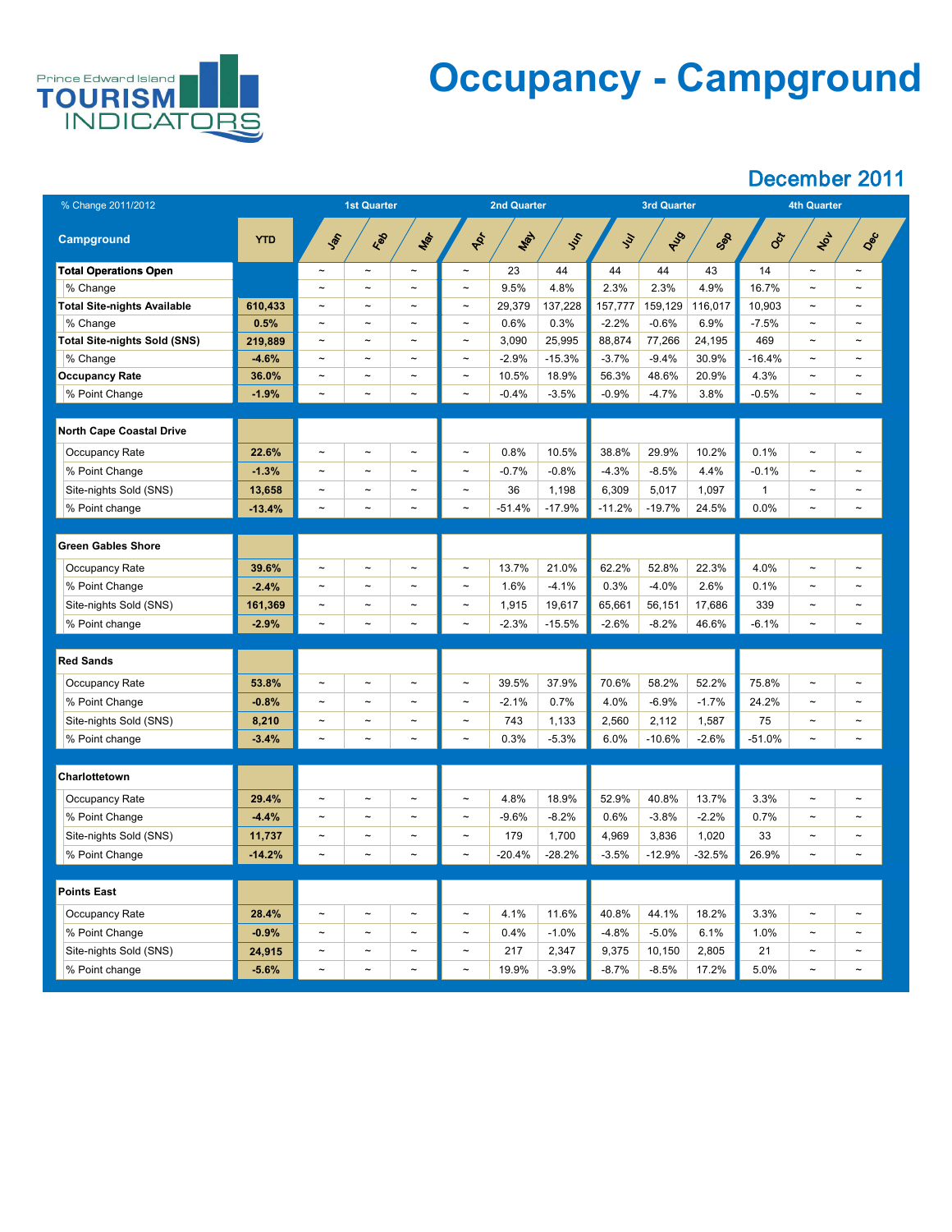

## **Occupancy - Campground**

| % Change 2011/2012                 |            |                       | <b>1st Quarter</b>    |                       |                       | <b>2nd Quarter</b> |          |               | <b>3rd Quarter</b> |          | <b>4th Quarter</b> |                       |                       |  |
|------------------------------------|------------|-----------------------|-----------------------|-----------------------|-----------------------|--------------------|----------|---------------|--------------------|----------|--------------------|-----------------------|-----------------------|--|
| <b>Campground</b>                  | <b>YTD</b> | SOF                   | Red                   | Mar                   | ADS                   | May                | SS       | $\mathcal{L}$ | AUS                | Sep      | Oct                | NOL                   | Dec                   |  |
| <b>Total Operations Open</b>       |            | $\tilde{}$            | $\sim$                | $\tilde{\phantom{a}}$ | $\thicksim$           | 23                 | 44       | 44            | 44                 | 43       | 14                 | $\tilde{\phantom{m}}$ | $\tilde{\phantom{a}}$ |  |
| % Change                           |            | $\tilde{\phantom{a}}$ | $\tilde{\phantom{a}}$ | $\tilde{\phantom{a}}$ | $\thicksim$           | 9.5%               | 4.8%     | 2.3%          | 2.3%               | 4.9%     | 16.7%              | $\tilde{\phantom{m}}$ | $\tilde{\phantom{a}}$ |  |
| <b>Total Site-nights Available</b> | 610,433    | $\tilde{\phantom{a}}$ | $\sim$                | $\tilde{\phantom{a}}$ | $\tilde{}$            | 29,379             | 137,228  | 157,777       | 159,129            | 116,017  | 10,903             | $\sim$                | $\tilde{\phantom{a}}$ |  |
| % Change                           | 0.5%       | $\tilde{\phantom{a}}$ | $\tilde{\phantom{a}}$ | $\tilde{\phantom{a}}$ | $\thicksim$           | 0.6%               | 0.3%     | $-2.2%$       | $-0.6%$            | 6.9%     | $-7.5%$            | $\tilde{\phantom{m}}$ | $\tilde{\phantom{a}}$ |  |
| Total Site-nights Sold (SNS)       | 219,889    | $\tilde{\phantom{a}}$ | $\sim$                | $\tilde{\phantom{a}}$ | $\tilde{}$            | 3,090              | 25,995   | 88,874        | 77,266             | 24,195   | 469                | $\tilde{\phantom{m}}$ | $\tilde{\phantom{a}}$ |  |
| % Change                           | $-4.6%$    | $\tilde{\phantom{a}}$ | $\tilde{\phantom{m}}$ | $\tilde{\phantom{a}}$ | $\thicksim$           | $-2.9%$            | $-15.3%$ | $-3.7%$       | $-9.4%$            | 30.9%    | $-16.4%$           | $\tilde{\phantom{m}}$ | $\tilde{\phantom{a}}$ |  |
| <b>Occupancy Rate</b>              | 36.0%      | $\tilde{\phantom{a}}$ | $\sim$                | $\tilde{\phantom{a}}$ | $\tilde{\phantom{m}}$ | 10.5%              | 18.9%    | 56.3%         | 48.6%              | 20.9%    | 4.3%               | $\sim$                | $\tilde{\phantom{a}}$ |  |
| % Point Change                     | $-1.9%$    | $\thicksim$           | $\tilde{\phantom{a}}$ | $\tilde{\phantom{a}}$ | $\thicksim$           | $-0.4%$            | $-3.5%$  | $-0.9%$       | $-4.7\%$           | 3.8%     | $-0.5%$            | $\tilde{\phantom{a}}$ | $\tilde{\phantom{a}}$ |  |
|                                    |            |                       |                       |                       |                       |                    |          |               |                    |          |                    |                       |                       |  |
| <b>North Cape Coastal Drive</b>    |            |                       |                       |                       |                       |                    |          |               |                    |          |                    |                       |                       |  |
| <b>Occupancy Rate</b>              | 22.6%      | $\tilde{\phantom{a}}$ | $\tilde{\phantom{m}}$ | $\tilde{\phantom{a}}$ | $\thicksim$           | 0.8%               | 10.5%    | 38.8%         | 29.9%              | 10.2%    | 0.1%               | $\tilde{\phantom{m}}$ | $\tilde{\phantom{a}}$ |  |
| % Point Change                     | $-1.3%$    | $\tilde{\phantom{a}}$ | $\sim$                | $\tilde{\phantom{a}}$ | $\thicksim$           | $-0.7%$            | $-0.8%$  | $-4.3%$       | $-8.5\%$           | 4.4%     | $-0.1\%$           | $\sim$                | $\sim$                |  |
| Site-nights Sold (SNS)             | 13,658     | $\tilde{\phantom{a}}$ | $\sim$                | $\tilde{}$            | $\tilde{}$            | 36                 | 1,198    | 6,309         | 5,017              | 1,097    |                    | $\tilde{\phantom{a}}$ | $\tilde{\phantom{a}}$ |  |
| % Point change                     | $-13.4%$   | $\tilde{}$            | $\tilde{\phantom{a}}$ | $\tilde{\phantom{a}}$ | $\thicksim$           | $-51.4%$           | $-17.9%$ | $-11.2%$      | $-19.7%$           | 24.5%    | 0.0%               | $\tilde{\phantom{a}}$ | $\tilde{}$            |  |
|                                    |            |                       |                       |                       |                       |                    |          |               |                    |          |                    |                       |                       |  |
| <b>Green Gables Shore</b>          |            |                       |                       |                       |                       |                    |          |               |                    |          |                    |                       |                       |  |
| <b>Occupancy Rate</b>              | 39.6%      | $\tilde{}$            | $\tilde{}$            | $\tilde{\phantom{a}}$ | $\thicksim$           | 13.7%              | 21.0%    | 62.2%         | 52.8%              | 22.3%    | 4.0%               | $\tilde{}$            | $\tilde{\phantom{a}}$ |  |
| % Point Change                     | $-2.4%$    | $\sim$                | $\tilde{\phantom{a}}$ | $\tilde{\phantom{a}}$ | $\thicksim$           | 1.6%               | $-4.1%$  | 0.3%          | $-4.0\%$           | 2.6%     | 0.1%               | $\tilde{\phantom{m}}$ | $\sim$                |  |
| Site-nights Sold (SNS)             | 161,369    | $\tilde{\phantom{a}}$ | $\tilde{\phantom{a}}$ | $\tilde{\phantom{a}}$ | $\thicksim$           | 1,915              | 19,617   | 65,661        | 56,151             | 17,686   | 339                | $\tilde{\phantom{m}}$ | $\sim$                |  |
| % Point change                     | $-2.9%$    | $\tilde{\phantom{a}}$ | $\tilde{\phantom{a}}$ | $\tilde{\phantom{a}}$ | $\thicksim$           | $-2.3%$            | $-15.5%$ | $-2.6%$       | $-8.2%$            | 46.6%    | $-6.1%$            | $\sim$                | $\tilde{\phantom{m}}$ |  |
|                                    |            |                       |                       |                       |                       |                    |          |               |                    |          |                    |                       |                       |  |
| <b>Red Sands</b>                   |            |                       |                       |                       |                       |                    |          |               |                    |          |                    |                       |                       |  |
| <b>Occupancy Rate</b>              | 53.8%      | $\tilde{\phantom{a}}$ | $\tilde{\phantom{a}}$ | $\tilde{\phantom{a}}$ | $\thicksim$           | 39.5%              | 37.9%    | 70.6%         | 58.2%              | 52.2%    | 75.8%              | $\tilde{\phantom{m}}$ | $\tilde{\phantom{a}}$ |  |
| % Point Change                     | $-0.8%$    | $\tilde{\phantom{a}}$ | $\tilde{\phantom{a}}$ | $\tilde{\phantom{a}}$ | $\thicksim$           | $-2.1%$            | 0.7%     | 4.0%          | $-6.9\%$           | $-1.7%$  | 24.2%              | $\tilde{\phantom{m}}$ | $\tilde{\phantom{m}}$ |  |
| Site-nights Sold (SNS)             | 8,210      | $\tilde{\phantom{a}}$ | $\tilde{\phantom{a}}$ | $\tilde{\phantom{a}}$ | $\thicksim$           | 743                | 1,133    | 2,560         | 2,112              | 1,587    | 75                 | $\tilde{\phantom{m}}$ | $\tilde{\phantom{m}}$ |  |
| % Point change                     | $-3.4%$    | $\sim$                | $\thicksim$           | $\thicksim$           | $\thicksim$           | 0.3%               | $-5.3%$  | 6.0%          | $-10.6%$           | $-2.6%$  | $-51.0%$           | $\tilde{\phantom{m}}$ | $\tilde{\phantom{a}}$ |  |
|                                    |            |                       |                       |                       |                       |                    |          |               |                    |          |                    |                       |                       |  |
| <b>Charlottetown</b>               |            |                       |                       |                       |                       |                    |          |               |                    |          |                    |                       |                       |  |
| Occupancy Rate                     | 29.4%      | $\sim$                | $\tilde{\phantom{a}}$ | $\tilde{\phantom{a}}$ | $\thicksim$           | 4.8%               | 18.9%    | 52.9%         | 40.8%              | 13.7%    | 3.3%               | $\tilde{\phantom{m}}$ | $\tilde{\phantom{m}}$ |  |
| % Point Change                     | $-4.4%$    | $\tilde{\phantom{a}}$ | $\tilde{\phantom{m}}$ | $\tilde{\phantom{a}}$ | $\thicksim$           | $-9.6%$            | $-8.2%$  | 0.6%          | $-3.8%$            | $-2.2%$  | 0.7%               | $\tilde{\phantom{m}}$ | $\tilde{\phantom{a}}$ |  |
| Site-nights Sold (SNS)             | 11,737     | $\tilde{\phantom{a}}$ | $\tilde{\phantom{m}}$ | $\tilde{\phantom{a}}$ | $\tilde{}$            | 179                | 1,700    | 4,969         | 3,836              | 1,020    | 33                 | $\tilde{\phantom{m}}$ | $\sim$                |  |
| % Point Change                     | $-14.2%$   | $\thicksim$           | $\thicksim$           | $\tilde{\phantom{a}}$ | $\thicksim$           | $-20.4%$           | $-28.2%$ | $-3.5%$       | $-12.9%$           | $-32.5%$ | 26.9%              | $\tilde{\phantom{m}}$ | $\tilde{\phantom{a}}$ |  |
|                                    |            |                       |                       |                       |                       |                    |          |               |                    |          |                    |                       |                       |  |
| <b>Points East</b>                 |            |                       |                       |                       |                       |                    |          |               |                    |          |                    |                       |                       |  |
| <b>Occupancy Rate</b>              | 28.4%      | $\tilde{\phantom{a}}$ | $\sim$                | $\tilde{\phantom{a}}$ | $\thicksim$           | 4.1%               | 11.6%    | 40.8%         | 44.1%              | 18.2%    | 3.3%               | $\tilde{\phantom{m}}$ | $\tilde{\phantom{a}}$ |  |
| % Point Change                     | $-0.9%$    |                       |                       |                       |                       | 0.4%               | $-1.0%$  | $-4.8%$       | $-5.0%$            | 6.1%     | 1.0%               |                       |                       |  |
|                                    | 24,915     | $\sim$                | $\sim$                | $\tilde{\phantom{a}}$ | $\thicksim$           | 217                | 2,347    | 9,375         | 10,150             | 2,805    | 21                 | $\sim$                | $\thicksim$           |  |
| Site-nights Sold (SNS)             |            |                       |                       |                       |                       |                    |          |               |                    |          |                    |                       |                       |  |
| % Point change                     | $-5.6%$    | $\sim$                | $\sim$                | $\tilde{\phantom{a}}$ | $\thicksim$           | 19.9%              | $-3.9\%$ | $-8.7\%$      | $-8.5\%$           | 17.2%    | 5.0%               | $\sim$                | $\tilde{\phantom{a}}$ |  |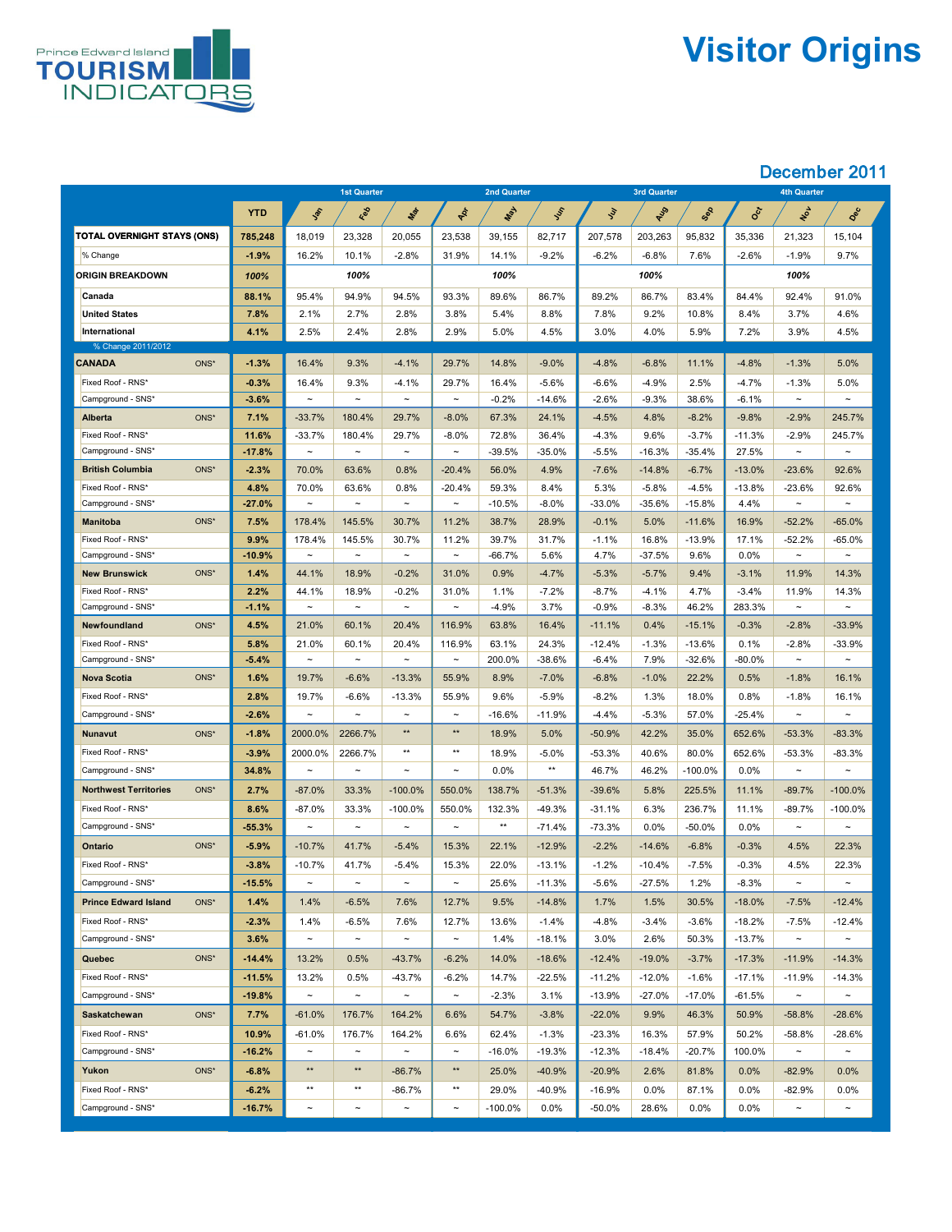

# **Visitor Origins**

|                                        |                  |                       | <b>1st Quarter</b>   |                       |                         | <b>2nd Quarter</b> |                  |                  | <b>3rd Quarter</b>  |                     |                  | <b>4th Quarter</b>    |                       |
|----------------------------------------|------------------|-----------------------|----------------------|-----------------------|-------------------------|--------------------|------------------|------------------|---------------------|---------------------|------------------|-----------------------|-----------------------|
|                                        | <b>YTD</b>       | John                  | Red                  | Mar                   | PRI                     | <b>WAY</b>         | Jus              | $\mathcal{L}$    | AUS                 | Sep                 | SCX              | Not                   | Dec                   |
| <b>TOTAL OVERNIGHT STAYS (ONS)</b>     | 785,248          | 18,019                | 23,328               | 20,055                | 23,538                  | 39,155             | 82,717           | 207,578          | 203,263             | 95,832              | 35,336           | 21,323                | 15,104                |
| % Change                               | $-1.9%$          | 16.2%                 | 10.1%                | $-2.8%$               | 31.9%                   | 14.1%              | $-9.2%$          | $-6.2%$          | $-6.8%$             | 7.6%                | $-2.6\%$         | $-1.9%$               | 9.7%                  |
| <b>ORIGIN BREAKDOWN</b>                | 100%             |                       | 100%                 |                       |                         | 100%               |                  |                  | 100%                |                     |                  | 100%                  |                       |
| Canada                                 | 88.1%            | 95.4%                 | 94.9%                | 94.5%                 | 93.3%                   | 89.6%              | 86.7%            | 89.2%            | 86.7%               | 83.4%               | 84.4%            | 92.4%                 | 91.0%                 |
| <b>United States</b>                   | 7.8%             | 2.1%                  | 2.7%                 | 2.8%                  | 3.8%                    | 5.4%               | 8.8%             | 7.8%             | 9.2%                | 10.8%               | 8.4%             | 3.7%                  | 4.6%                  |
| International                          | 4.1%             | 2.5%                  | 2.4%                 | 2.8%                  | 2.9%                    | 5.0%               | 4.5%             | 3.0%             | 4.0%                | 5.9%                | 7.2%             | 3.9%                  | 4.5%                  |
| % Change 2011/2012                     |                  |                       |                      |                       |                         |                    |                  |                  |                     |                     |                  |                       |                       |
| ONS*<br><b>CANADA</b>                  | $-1.3%$          | 16.4%                 | 9.3%                 | $-4.1%$               | 29.7%                   | 14.8%              | $-9.0\%$         | $-4.8%$          | $-6.8%$             | 11.1%               | $-4.8%$          | $-1.3%$               | 5.0%                  |
| Fixed Roof - RNS*                      | $-0.3%$          | 16.4%                 | 9.3%                 | $-4.1%$               | 29.7%                   | 16.4%              | $-5.6%$          | $-6.6%$          | $-4.9%$             | 2.5%                | $-4.7%$          | $-1.3%$               | 5.0%                  |
| Campground - SNS*                      | $-3.6%$          | $\tilde{\phantom{a}}$ | $\sim$               | $\sim$                | $\tilde{\phantom{m}}$   | $-0.2%$            | $-14.6%$         | $-2.6%$          | $-9.3%$             | 38.6%               | $-6.1%$          | $\tilde{\phantom{a}}$ | $\tilde{\phantom{m}}$ |
| ONS*<br><b>Alberta</b>                 | 7.1%             | $-33.7%$              | 180.4%               | 29.7%                 | $-8.0\%$                | 67.3%              | 24.1%            | $-4.5%$          | 4.8%                | $-8.2%$             | $-9.8%$          | $-2.9%$               | 245.7%                |
| Fixed Roof - RNS*                      | 11.6%            | $-33.7%$              | 180.4%               | 29.7%                 | $-8.0\%$                | 72.8%              | 36.4%            | $-4.3%$          | 9.6%                | $-3.7%$             | $-11.3%$         | $-2.9\%$              | 245.7%                |
| Campground - SNS*                      | $-17.8%$         | $\thicksim$           | $\thicksim$          | $\tilde{\phantom{m}}$ | $\thicksim$             | $-39.5%$           | $-35.0%$         | $-5.5%$          | $-16.3%$            | $-35.4%$            | 27.5%            | $\thicksim$           | $\thicksim$           |
| ONS*<br><b>British Columbia</b>        | $-2.3%$          | 70.0%                 | 63.6%                | 0.8%                  | $-20.4%$                | 56.0%              | 4.9%             | $-7.6%$          | $-14.8%$            | $-6.7%$             | $-13.0%$         | $-23.6%$              | 92.6%                 |
| Fixed Roof - RNS*<br>Campground - SNS* | 4.8%<br>$-27.0%$ | 70.0%<br>$\thicksim$  | 63.6%<br>$\thicksim$ | 0.8%<br>$\sim$        | $-20.4%$<br>$\thicksim$ | 59.3%<br>$-10.5%$  | 8.4%<br>$-8.0\%$ | 5.3%<br>$-33.0%$ | $-5.8%$<br>$-35.6%$ | $-4.5%$<br>$-15.8%$ | $-13.8%$<br>4.4% | $-23.6%$<br>$\sim$    | 92.6%<br>$\thicksim$  |
| ONS*<br><b>Manitoba</b>                | 7.5%             | 178.4%                | 145.5%               | 30.7%                 | 11.2%                   | 38.7%              | 28.9%            | $-0.1%$          | 5.0%                | $-11.6%$            | 16.9%            | $-52.2%$              | $-65.0%$              |
| Fixed Roof - RNS*                      | 9.9%             | 178.4%                | 145.5%               | 30.7%                 | 11.2%                   | 39.7%              | 31.7%            | $-1.1%$          | 16.8%               | $-13.9%$            | 17.1%            | $-52.2%$              | $-65.0%$              |
| Campground - SNS*                      | $-10.9%$         | $\thicksim$           | $\thicksim$          | $\thicksim$           | $\thicksim$             | $-66.7%$           | 5.6%             | 4.7%             | $-37.5%$            | 9.6%                | $0.0\%$          | $\thicksim$           | $\thicksim$           |
| ONS*<br><b>New Brunswick</b>           | 1.4%             | 44.1%                 | 18.9%                | $-0.2%$               | 31.0%                   | 0.9%               | $-4.7%$          | $-5.3%$          | $-5.7%$             | 9.4%                | $-3.1%$          | 11.9%                 | 14.3%                 |
| Fixed Roof - RNS*                      | 2.2%             | 44.1%                 | 18.9%                | $-0.2%$               | 31.0%                   | 1.1%               | $-7.2\%$         | $-8.7%$          | $-4.1%$             | 4.7%                | $-3.4%$          | 11.9%                 | 14.3%                 |
| Campground - SNS*                      | $-1.1%$          | $\tilde{\phantom{a}}$ | $\thicksim$          | $\sim$                | $\thicksim$             | $-4.9\%$           | 3.7%             | $-0.9%$          | $-8.3%$             | 46.2%               | 283.3%           | $\sim$                | $\tilde{\phantom{a}}$ |
| ONS*<br><b>Newfoundland</b>            | 4.5%             | 21.0%                 | 60.1%                | 20.4%                 | 116.9%                  | 63.8%              | 16.4%            | $-11.1%$         | 0.4%                | $-15.1%$            | $-0.3%$          | $-2.8%$               | $-33.9%$              |
| Fixed Roof - RNS*                      | 5.8%             | 21.0%                 | 60.1%                | 20.4%                 | 116.9%                  | 63.1%              | 24.3%            | $-12.4%$         | $-1.3%$             | $-13.6%$            | 0.1%             | $-2.8%$               | $-33.9%$              |
| Campground - SNS*                      | $-5.4%$          | $\tilde{\phantom{a}}$ | $\thicksim$          | $\sim$                | $\thicksim$             | 200.0%             | $-38.6%$         | $-6.4%$          | 7.9%                | $-32.6%$            | $-80.0\%$        | $\thicksim$           | $\thicksim$           |
| ONS*<br><b>Nova Scotia</b>             | 1.6%             | 19.7%                 | $-6.6%$              | $-13.3%$              | 55.9%                   | 8.9%               | $-7.0%$          | $-6.8%$          | $-1.0%$             | 22.2%               | 0.5%             | $-1.8%$               | 16.1%                 |
| Fixed Roof - RNS*                      | 2.8%             | 19.7%                 | $-6.6%$              | $-13.3%$              | 55.9%                   | 9.6%               | $-5.9\%$         | $-8.2%$          | 1.3%                | 18.0%               | 0.8%             | $-1.8%$               | 16.1%                 |
| Campground - SNS*                      | $-2.6%$          | $\thicksim$           | $\sim$               | $\sim$                | $\thicksim$             | $-16.6%$           | $-11.9\%$        | $-4.4%$          | $-5.3%$             | 57.0%               | $-25.4%$         | $\sim$                | $\tilde{\phantom{m}}$ |
| ONS*<br><b>Nunavut</b>                 | $-1.8%$          | 2000.0%               | 2266.7%              | $***$                 | $***$                   | 18.9%              | 5.0%             | $-50.9%$         | 42.2%               | 35.0%               | 652.6%           | $-53.3%$              | $-83.3%$              |
| Fixed Roof - RNS*                      | $-3.9%$          | 2000.0%               | 2266.7%              | $***$                 | $***$                   | 18.9%              | $-5.0\%$         | $-53.3%$         | 40.6%               | 80.0%               | 652.6%           | $-53.3%$              | $-83.3%$              |
| Campground - SNS*                      | 34.8%            | $\sim$                | $\sim$               | $\sim$                | $\tilde{\phantom{m}}$   | $0.0\%$            | $***$            | 46.7%            | 46.2%               | $-100.0\%$          | $0.0\%$          | $\tilde{\phantom{a}}$ | $\tilde{\phantom{m}}$ |
| ONS*<br><b>Northwest Territories</b>   | 2.7%             | $-87.0%$              | 33.3%                | $-100.0\%$            | 550.0%                  | 138.7%             | $-51.3%$         | $-39.6%$         | 5.8%                | 225.5%              | 11.1%            | $-89.7%$              | $-100.0\%$            |
| Fixed Roof - RNS*                      | 8.6%             | $-87.0%$              | 33.3%                | $-100.0\%$            | 550.0%                  | 132.3%             | $-49.3%$         | $-31.1%$         | 6.3%                | 236.7%              | 11.1%            | $-89.7%$              | $-100.0\%$            |
| Campground - SNS*                      | $-55.3%$         | $\tilde{\phantom{a}}$ | $\sim$               | $\sim$                | $\tilde{\phantom{m}}$   | $***$              | -71.4%           | $-73.3%$         | $0.0\%$             | $-50.0%$            | $0.0\%$          | $\tilde{\phantom{a}}$ | $\tilde{\phantom{m}}$ |
| ONS*<br><b>Ontario</b>                 | $-5.9%$          | $-10.7%$              | 41.7%                | $-5.4%$               | 15.3%                   | 22.1%              | $-12.9%$         | $-2.2%$          | $-14.6%$            | $-6.8%$             | $-0.3%$          | 4.5%                  | 22.3%                 |
| Fixed Roof - RNS*                      | $-3.8%$          | $-10.7%$              | 41.7%                | $-5.4%$               | 15.3%                   | 22.0%              | $-13.1%$         | $-1.2%$          | $-10.4%$            | $-7.5%$             | $-0.3%$          | 4.5%                  | 22.3%                 |
| Campground - SNS*                      | $-15.5%$         | $\tilde{\phantom{a}}$ | $\sim$               | $\sim$                | $\thicksim$             | 25.6%              | $-11.3%$         | $-5.6%$          | $-27.5%$            | 1.2%                | $-8.3%$          | $\tilde{\phantom{a}}$ | $\thicksim$           |
| ONS*<br><b>Prince Edward Island</b>    | 1.4%             | 1.4%                  | $-6.5%$              | 7.6%                  | 12.7%                   | 9.5%               | $-14.8%$         | 1.7%             | 1.5%                | 30.5%               | $-18.0%$         | $-7.5%$               | $-12.4%$              |
| Fixed Roof - RNS*                      | $-2.3%$          | 1.4%                  | $-6.5%$              | 7.6%                  | 12.7%                   | 13.6%              | $-1.4%$          | $-4.8%$          | $-3.4%$             | $-3.6%$             | $-18.2%$         | $-7.5%$               | $-12.4%$              |
| Campground - SNS*                      | 3.6%             | $\tilde{\phantom{a}}$ | $\sim$               | $\sim$                | $\thicksim$             | 1.4%               | $-18.1%$         | 3.0%             | 2.6%                | 50.3%               | $-13.7\%$        | $\sim$                | $\thicksim$           |
| ONS*<br><b>Quebec</b>                  | $-14.4%$         | 13.2%                 | 0.5%                 | $-43.7%$              | $-6.2%$                 | 14.0%              | $-18.6%$         | $-12.4%$         | $-19.0\%$           | $-3.7%$             | $-17.3%$         | $-11.9%$              | $-14.3%$              |
| Fixed Roof - RNS*                      | $-11.5%$         | 13.2%                 | 0.5%                 | $-43.7%$              | $-6.2%$                 | 14.7%              | $-22.5%$         | $-11.2%$         | $-12.0%$            | $-1.6%$             | $-17.1%$         | $-11.9%$              | $-14.3%$              |
| Campground - SNS*                      | $-19.8%$         | $\tilde{\phantom{a}}$ | $\sim$               | $\sim$                | $\thicksim$             | $-2.3%$            | 3.1%             | $-13.9%$         | $-27.0%$            | $-17.0%$            | -61.5%           | $\sim$                | $\thicksim$           |
| ONS*<br><b>Saskatchewan</b>            | 7.7%             | $-61.0%$              | 176.7%               | 164.2%                | 6.6%                    | 54.7%              | $-3.8%$          | $-22.0%$         | 9.9%                | 46.3%               | 50.9%            | $-58.8%$              | $-28.6%$              |
| Fixed Roof - RNS*                      | 10.9%            | $-61.0%$              | 176.7%               | 164.2%                | 6.6%                    | 62.4%              | $-1.3%$          | $-23.3%$         | 16.3%               | 57.9%               | 50.2%            | $-58.8%$              | $-28.6%$              |
| Campground - SNS*                      | $-16.2%$         | $\tilde{\phantom{a}}$ | $\sim$               | $\sim$                | $\thicksim$             | $-16.0\%$          | $-19.3%$         | $-12.3%$         | $-18.4%$            | $-20.7%$            | 100.0%           | $\tilde{\phantom{a}}$ | $\thicksim$           |
| Yukon<br>ONS*                          | $-6.8%$          | $***$                 | $***$                | $-86.7%$              | $***$                   | 25.0%              | $-40.9%$         | $-20.9%$         | 2.6%                | 81.8%               | 0.0%             | $-82.9%$              | 0.0%                  |
| Fixed Roof - RNS*                      | $-6.2%$          | $***$                 | $***$                | $-86.7%$              | $***$                   | 29.0%              | $-40.9%$         | $-16.9%$         | $0.0\%$             | 87.1%               | $0.0\%$          | $-82.9%$              | 0.0%                  |
| Campground - SNS*                      | $-16.7%$         | $\tilde{\phantom{a}}$ | $\sim$               | $\tilde{\phantom{a}}$ | $\thicksim$             | $-100.0\%$         | $0.0\%$          | $-50.0\%$        | 28.6%               | $0.0\%$             | $0.0\%$          | $\sim$                | $\thicksim$           |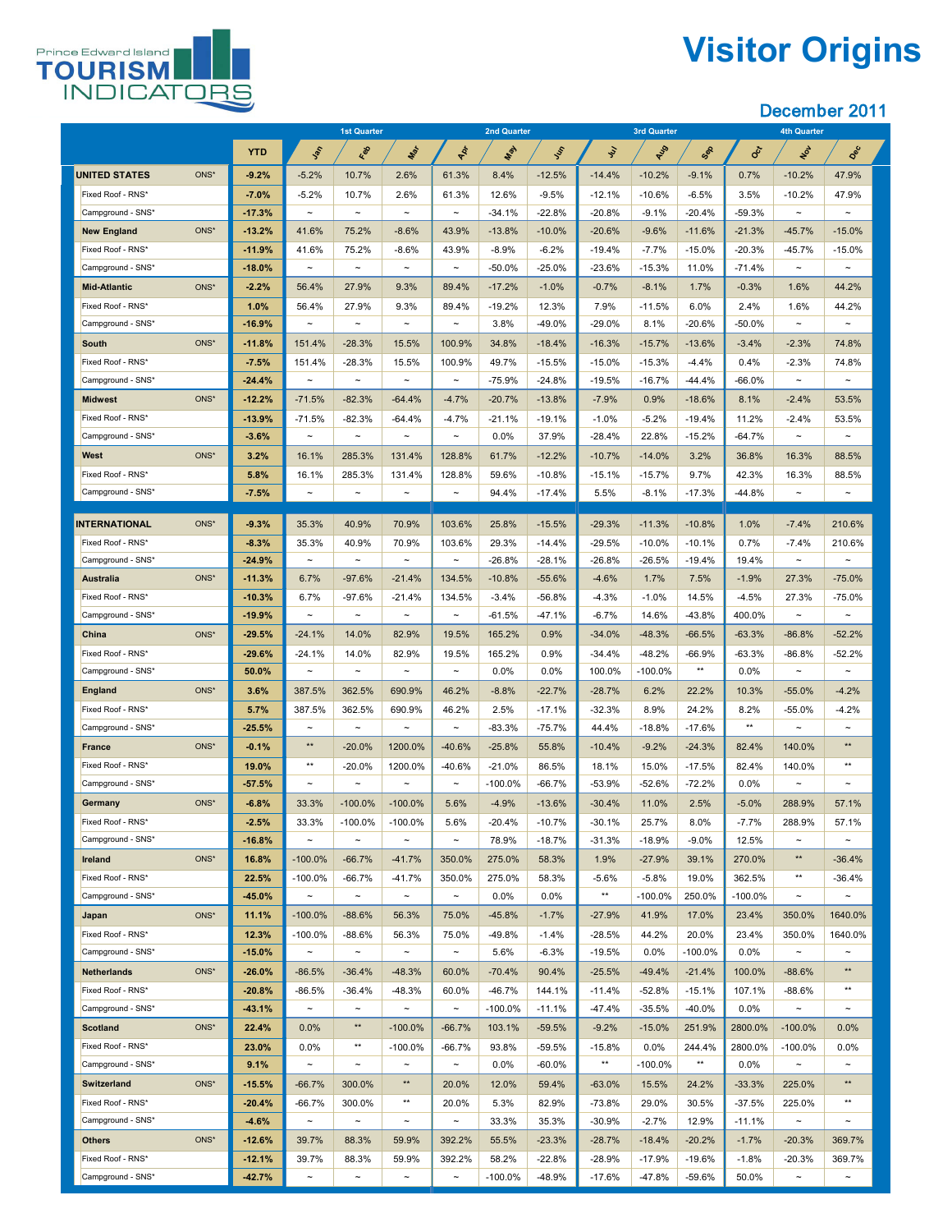

# **Visitor Origins**

|                              |            |                       | 1st Quarter           |                       |                       | <b>2nd Quarter</b> |           |               | 3rd Quarter |            |            | <b>4th Quarter</b>    |                       |
|------------------------------|------------|-----------------------|-----------------------|-----------------------|-----------------------|--------------------|-----------|---------------|-------------|------------|------------|-----------------------|-----------------------|
|                              | <b>YTD</b> | John                  | Red                   | Max                   | POL                   | May                | Iss       | $\mathcal{L}$ | AUS         | Sep        | CCT        | Not                   | Dec                   |
| <b>UNITED STATES</b><br>ONS* | $-9.2%$    | $-5.2%$               | 10.7%                 | 2.6%                  | 61.3%                 | 8.4%               | $-12.5%$  | $-14.4%$      | $-10.2%$    | $-9.1%$    | 0.7%       | $-10.2%$              | 47.9%                 |
| Fixed Roof - RNS*            | $-7.0%$    | $-5.2%$               | 10.7%                 | 2.6%                  | 61.3%                 | 12.6%              | $-9.5%$   | $-12.1%$      | $-10.6%$    | $-6.5%$    | 3.5%       | $-10.2%$              | 47.9%                 |
| Campground - SNS*            | $-17.3%$   | $\sim$                | $\thicksim$           | $\tilde{\phantom{m}}$ | $\thicksim$           | $-34.1%$           | $-22.8%$  | $-20.8%$      | $-9.1%$     | $-20.4%$   | $-59.3%$   | $\tilde{\phantom{a}}$ | $\thicksim$           |
| ONS*<br><b>New England</b>   | $-13.2%$   | 41.6%                 | 75.2%                 | $-8.6%$               | 43.9%                 | $-13.8%$           | $-10.0\%$ | $-20.6%$      | $-9.6%$     | $-11.6%$   | $-21.3%$   | $-45.7%$              | $-15.0%$              |
| Fixed Roof - RNS*            | $-11.9%$   | 41.6%                 | 75.2%                 | $-8.6%$               | 43.9%                 | $-8.9%$            | $-6.2%$   | $-19.4%$      | $-7.7\%$    | $-15.0%$   | $-20.3%$   | $-45.7%$              | $-15.0%$              |
| Campground - SNS*            | $-18.0%$   | $\sim$                | $\tilde{\phantom{a}}$ | $\tilde{\phantom{a}}$ | $\thicksim$           | $-50.0\%$          | $-25.0%$  | $-23.6%$      | $-15.3%$    | 11.0%      | $-71.4%$   | $\sim$                | $\tilde{\phantom{m}}$ |
| ONS*<br><b>Mid-Atlantic</b>  | $-2.2%$    | 56.4%                 | 27.9%                 | 9.3%                  | 89.4%                 | $-17.2%$           | $-1.0%$   | $-0.7%$       | $-8.1%$     | 1.7%       | $-0.3%$    | 1.6%                  | 44.2%                 |
| Fixed Roof - RNS*            | 1.0%       | 56.4%                 | 27.9%                 | 9.3%                  | 89.4%                 | $-19.2%$           | 12.3%     | 7.9%          | $-11.5%$    | 6.0%       | 2.4%       | 1.6%                  | 44.2%                 |
| Campground - SNS*            | $-16.9%$   | $\sim$                | $\tilde{\phantom{m}}$ | $\tilde{\phantom{a}}$ | $\thicksim$           | 3.8%               | $-49.0%$  | $-29.0%$      | 8.1%        | $-20.6%$   | $-50.0%$   | $\tilde{\phantom{a}}$ | $\tilde{\phantom{m}}$ |
| ONS*<br><b>South</b>         | $-11.8%$   | 151.4%                | $-28.3%$              | 15.5%                 | 100.9%                | 34.8%              | $-18.4%$  | $-16.3%$      | $-15.7%$    | $-13.6%$   | $-3.4%$    | $-2.3%$               | 74.8%                 |
| Fixed Roof - RNS*            | $-7.5%$    | 151.4%                | $-28.3%$              | 15.5%                 | 100.9%                | 49.7%              | $-15.5\%$ | $-15.0%$      | $-15.3%$    | $-4.4%$    | 0.4%       | $-2.3%$               | 74.8%                 |
| Campground - SNS*            | $-24.4%$   | $\sim$                | $\tilde{\phantom{a}}$ | $\tilde{\phantom{a}}$ | $\tilde{\phantom{a}}$ | $-75.9%$           | $-24.8%$  | $-19.5%$      | $-16.7%$    | $-44.4%$   | $-66.0%$   | $\sim$                | $\tilde{\phantom{m}}$ |
| ONS*<br><b>Midwest</b>       | $-12.2%$   | $-71.5%$              | $-82.3%$              | $-64.4%$              | $-4.7%$               | $-20.7%$           | $-13.8%$  | $-7.9%$       | 0.9%        | $-18.6%$   | 8.1%       | $-2.4%$               | 53.5%                 |
| Fixed Roof - RNS*            | $-13.9%$   | $-71.5%$              | $-82.3%$              | $-64.4\%$             | $-4.7\%$              | $-21.1%$           | $-19.1%$  | $-1.0%$       | $-5.2\%$    | $-19.4%$   | 11.2%      | $-2.4%$               | 53.5%                 |
| Campground - SNS*            | $-3.6%$    | $\tilde{\phantom{a}}$ | $\tilde{\phantom{m}}$ | $\tilde{\phantom{a}}$ | $\tilde{\phantom{a}}$ | 0.0%               | 37.9%     | $-28.4%$      | 22.8%       | $-15.2%$   | $-64.7%$   | $\tilde{\phantom{a}}$ | $\tilde{\phantom{m}}$ |
| ONS*<br><b>West</b>          | 3.2%       | 16.1%                 | 285.3%                | 131.4%                | 128.8%                | 61.7%              | $-12.2%$  | $-10.7%$      | $-14.0%$    | 3.2%       | 36.8%      | 16.3%                 | 88.5%                 |
| Fixed Roof - RNS*            | 5.8%       | 16.1%                 | 285.3%                | 131.4%                | 128.8%                | 59.6%              | $-10.8%$  | $-15.1%$      | $-15.7%$    | 9.7%       | 42.3%      | 16.3%                 | 88.5%                 |
| Campground - SNS*            | $-7.5%$    | $\tilde{\phantom{a}}$ | $\tilde{\phantom{m}}$ | $\tilde{}$            | $\thicksim$           | 94.4%              | $-17.4\%$ | 5.5%          | $-8.1%$     | $-17.3%$   | $-44.8%$   | $\tilde{\phantom{a}}$ | $\thicksim$           |
|                              |            |                       |                       |                       |                       |                    |           |               |             |            |            |                       |                       |
| <b>INTERNATIONAL</b><br>ONS* | $-9.3%$    | 35.3%                 | 40.9%                 | 70.9%                 | 103.6%                | 25.8%              | $-15.5%$  | $-29.3%$      | $-11.3%$    | $-10.8%$   | 1.0%       | $-7.4%$               | 210.6%                |
| Fixed Roof - RNS*            | $-8.3%$    | 35.3%                 | 40.9%                 | 70.9%                 | 103.6%                | 29.3%              | $-14.4\%$ | $-29.5%$      | $-10.0\%$   | $-10.1%$   | 0.7%       | $-7.4\%$              | 210.6%                |
| Campground - SNS*            | $-24.9%$   | $\sim$                | $\tilde{\phantom{m}}$ | $\sim$                | $\thicksim$           | $-26.8%$           | $-28.1%$  | $-26.8%$      | $-26.5%$    | $-19.4%$   | 19.4%      | $\tilde{\phantom{a}}$ | $\tilde{\phantom{m}}$ |
| ONS*<br><b>Australia</b>     | $-11.3%$   | 6.7%                  | $-97.6%$              | $-21.4%$              | 134.5%                | $-10.8%$           | $-55.6%$  | $-4.6%$       | 1.7%        | 7.5%       | $-1.9%$    | 27.3%                 | $-75.0%$              |
| Fixed Roof - RNS*            | $-10.3%$   | 6.7%                  | $-97.6%$              | $-21.4%$              | 134.5%                | $-3.4%$            | $-56.8%$  | $-4.3%$       | $-1.0%$     | 14.5%      | $-4.5%$    | 27.3%                 | $-75.0%$              |
| Campground - SNS*            | $-19.9%$   | $\sim$                | $\thicksim$           | $\tilde{\phantom{m}}$ | $\thicksim$           | $-61.5%$           | $-47.1%$  | $-6.7%$       | 14.6%       | $-43.8%$   | 400.0%     | $\tilde{\phantom{a}}$ | $\thicksim$           |
| ONS*<br><b>China</b>         | $-29.5%$   | $-24.1%$              | 14.0%                 | 82.9%                 | 19.5%                 | 165.2%             | 0.9%      | $-34.0%$      | $-48.3%$    | $-66.5%$   | $-63.3%$   | $-86.8%$              | $-52.2%$              |
| Fixed Roof - RNS*            | $-29.6%$   | $-24.1%$              | 14.0%                 | 82.9%                 | 19.5%                 | 165.2%             | 0.9%      | $-34.4%$      | $-48.2%$    | $-66.9%$   | $-63.3%$   | $-86.8%$              | $-52.2%$              |
| Campground - SNS*            | 50.0%      | $\sim$                | $\thicksim$           | $\tilde{\phantom{m}}$ | $\thicksim$           | 0.0%               | $0.0\%$   | 100.0%        | $-100.0\%$  | $***$      | $0.0\%$    | $\tilde{\phantom{a}}$ | $\thicksim$           |
| ONS*<br><b>England</b>       | 3.6%       | 387.5%                | 362.5%                | 690.9%                | 46.2%                 | $-8.8%$            | $-22.7%$  | $-28.7%$      | 6.2%        | 22.2%      | 10.3%      | $-55.0%$              | $-4.2%$               |
| Fixed Roof - RNS*            | 5.7%       | 387.5%                | 362.5%                | 690.9%                | 46.2%                 | 2.5%               | $-17.1%$  | $-32.3%$      | 8.9%        | 24.2%      | 8.2%       | $-55.0%$              | $-4.2%$               |
| Campground - SNS*            | $-25.5%$   | $\tilde{\phantom{m}}$ | $\tilde{\phantom{a}}$ | $\tilde{\phantom{a}}$ | $\tilde{\phantom{a}}$ | $-83.3%$           | $-75.7%$  | 44.4%         | $-18.8%$    | $-17.6%$   | $***$      | $\sim$                | $\sim$                |
| ONS*<br><b>France</b>        | $-0.1%$    | $***$                 | $-20.0%$              | 1200.0%               | $-40.6%$              | $-25.8%$           | 55.8%     | $-10.4%$      | $-9.2%$     | $-24.3%$   | 82.4%      | 140.0%                | $***$                 |
| Fixed Roof - RNS*            | 19.0%      | $***$                 | $-20.0%$              | 1200.0%               | $-40.6%$              | $-21.0%$           | 86.5%     | 18.1%         | 15.0%       | $-17.5%$   | 82.4%      | 140.0%                | $***$                 |
| Campground - SNS*            | $-57.5%$   | $\thicksim$           | $\thicksim$           | $\tilde{\phantom{a}}$ | $\tilde{\phantom{m}}$ | $-100.0\%$         | $-66.7%$  | $-53.9%$      | $-52.6%$    | $-72.2%$   | $0.0\%$    | $\tilde{\phantom{m}}$ | $\tilde{\phantom{m}}$ |
| ONS*<br><b>Germany</b>       | $-6.8%$    | 33.3%                 | $-100.0\%$            | $-100.0\%$            | 5.6%                  | $-4.9%$            | $-13.6%$  | $-30.4%$      | 11.0%       | 2.5%       | $-5.0%$    | 288.9%                | 57.1%                 |
| Fixed Roof - RNS*            | $-2.5%$    | 33.3%                 | $-100.0\%$            | $-100.0\%$            | 5.6%                  | $-20.4%$           | $-10.7%$  | $-30.1%$      | 25.7%       | 8.0%       | $-7.7\%$   | 288.9%                | 57.1%                 |
| Campground - SNS*            | $-16.8%$   | $\thicksim$           | $\thicksim$           | $\tilde{\phantom{a}}$ | $\tilde{\phantom{m}}$ | 78.9%              | $-18.7%$  | $-31.3%$      | $-18.9%$    | $-9.0%$    | 12.5%      | $\tilde{\phantom{a}}$ | $\thicksim$           |
| ONS*<br><b>Ireland</b>       | 16.8%      | $-100.0\%$            | $-66.7\%$             | $-41.7%$              | 350.0%                | 275.0%             | 58.3%     | 1.9%          | $-27.9%$    | 39.1%      | 270.0%     | $***$                 | $-36.4%$              |
| Fixed Roof - RNS*            | 22.5%      | $-100.0\%$            | $-66.7%$              | $-41.7%$              | 350.0%                | 275.0%             | 58.3%     | $-5.6%$       | $-5.8%$     | 19.0%      | 362.5%     | $***$                 | $-36.4%$              |
| Campground - SNS*            | $-45.0%$   | $\sim$                | $\thicksim$           | $\tilde{\phantom{m}}$ | $\tilde{\phantom{m}}$ | 0.0%               | $0.0\%$   | $***$         | $-100.0\%$  | 250.0%     | $-100.0\%$ | $\tilde{\phantom{a}}$ | $\tilde{\phantom{m}}$ |
| ONS*<br>Japan                | 11.1%      | $-100.0\%$            | $-88.6%$              | 56.3%                 | 75.0%                 | $-45.8%$           | $-1.7%$   | $-27.9%$      | 41.9%       | 17.0%      | 23.4%      | 350.0%                | 1640.0%               |
| Fixed Roof - RNS*            | 12.3%      | $-100.0\%$            | $-88.6%$              | 56.3%                 | 75.0%                 | $-49.8%$           | $-1.4%$   | $-28.5%$      | 44.2%       | 20.0%      | 23.4%      | 350.0%                | 1640.0%               |
| Campground - SNS*            | $-15.0%$   | $\thicksim$           | $\thicksim$           | $\tilde{\phantom{m}}$ | $\tilde{\phantom{m}}$ | 5.6%               | $-6.3%$   | $-19.5%$      | 0.0%        | $-100.0\%$ | $0.0\%$    | $\sim$                | $\tilde{\phantom{m}}$ |
| <b>Netherlands</b><br>ONS*   | $-26.0%$   | $-86.5%$              | $-36.4%$              | $-48.3%$              | 60.0%                 | $-70.4%$           | 90.4%     | $-25.5%$      | $-49.4%$    | $-21.4%$   | 100.0%     | $-88.6%$              | $***$                 |
| Fixed Roof - RNS*            | $-20.8%$   | $-86.5%$              | $-36.4%$              | $-48.3%$              | 60.0%                 | $-46.7%$           | 144.1%    | $-11.4%$      | $-52.8%$    | $-15.1%$   | 107.1%     | $-88.6%$              | $***$                 |
| Campground - SNS*            | $-43.1%$   | $\thicksim$           | $\thicksim$           | $\tilde{\phantom{a}}$ | $\thicksim$           | $-100.0\%$         | $-11.1\%$ | $-47.4%$      | $-35.5%$    | $-40.0\%$  | $0.0\%$    | $\tilde{\phantom{a}}$ | $\thicksim$           |
| <b>Scotland</b><br>ONS*      | 22.4%      | 0.0%                  | $***$                 | $-100.0\%$            | $-66.7%$              | 103.1%             | $-59.5%$  | $-9.2%$       | $-15.0\%$   | 251.9%     | 2800.0%    | $-100.0\%$            | $0.0\%$               |
| Fixed Roof - RNS*            | 23.0%      | $0.0\%$               | $***$                 | $-100.0\%$            | -66.7%                | 93.8%              | $-59.5%$  | $-15.8%$      | 0.0%        | 244.4%     | 2800.0%    | $-100.0\%$            | $0.0\%$               |
| Campground - SNS*            | 9.1%       | $\sim$                | $\thicksim$           | $\tilde{\phantom{a}}$ | $\thicksim$           | $0.0\%$            | $-60.0\%$ | $***$         | $-100.0\%$  | $***$      | $0.0\%$    | $\sim$                | $\thicksim$           |
| ONS*<br><b>Switzerland</b>   | $-15.5%$   | $-66.7%$              | 300.0%                | $***$                 | 20.0%                 | 12.0%              | 59.4%     | $-63.0%$      | 15.5%       | 24.2%      | $-33.3%$   | 225.0%                | $***$                 |
| Fixed Roof - RNS*            | $-20.4%$   | $-66.7%$              | 300.0%                | $***$                 | 20.0%                 | 5.3%               | 82.9%     | $-73.8\%$     | 29.0%       | 30.5%      | $-37.5%$   | 225.0%                | $***$                 |
| Campground - SNS*            | $-4.6%$    | $\sim$                | $\thicksim$           | $\thicksim$           | $\thicksim$           | 33.3%              | 35.3%     | $-30.9\%$     | $-2.7%$     | 12.9%      | $-11.1\%$  | $\sim$                | $\sim$                |
| ONS*<br><b>Others</b>        | $-12.6%$   | 39.7%                 | 88.3%                 | 59.9%                 | 392.2%                | 55.5%              | $-23.3%$  | $-28.7%$      | $-18.4%$    | $-20.2%$   | $-1.7%$    | $-20.3%$              | 369.7%                |
| Fixed Roof - RNS*            | $-12.1%$   | 39.7%                 | 88.3%                 | 59.9%                 | 392.2%                | 58.2%              | $-22.8%$  | $-28.9%$      | $-17.9%$    | $-19.6%$   | $-1.8%$    | $-20.3%$              | 369.7%                |
| Campground - SNS*            | $-42.7%$   | $\thicksim$           | $\thicksim$           | $\tilde{\phantom{a}}$ | $\thicksim$           | $-100.0\%$         | $-48.9\%$ | $-17.6\%$     | $-47.8\%$   | $-59.6\%$  | 50.0%      | $\tilde{\phantom{a}}$ | $\sim$                |